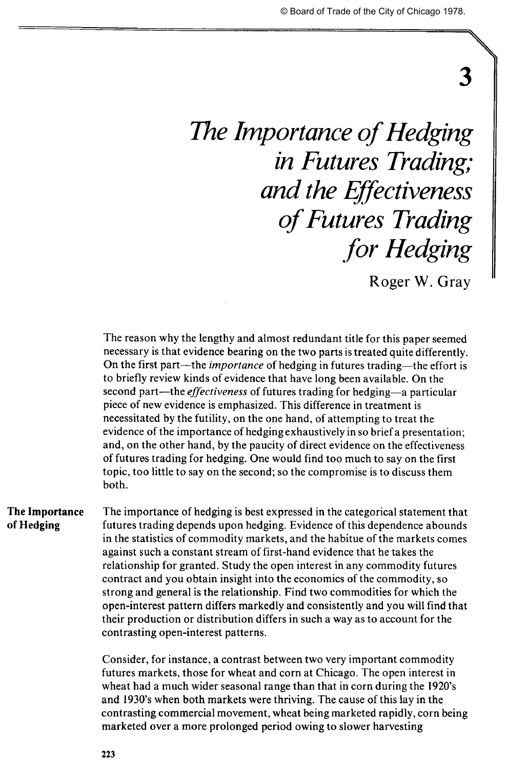## 3

# *The Importance of Hedging in Futures Trading; and the Effectiveness of Futures Trading for Hedging*

Roger W. Gray

The reason why the lengthy and almost redundant title for this paper seemed necessary is that evidence bearing on the two parts is treated quite differently. On the first part—the *importance* of hedging in futures trading—the effort is to briefly review kinds of evidence that have long been available. On the second part—the *effectiveness* of futures trading for hedging—a particular piece of new evidence is emphasized. This difference in treatment is necessitated by the futility, on the one hand, of attempting to treat the evidence of the importance of hedging exhaustively in so brief a presentation; and, on the other hand, by the paucity of direct evidence on the effectiveness of futures trading for hedging. One would find too much to say on the first topic, too little to say on the second; so the compromise is to discuss them both.

**The Importance** The importance of hedging is best expressed in the categorical statement that **of Hedging** futures trading depends upon hedging. Evidence of this dependence abounds in the statistics of commodity markets, and the habitue of the markets comes against such a constant stream of first-hand evidence that he takes the relationship for granted. Study the open interest in any commodity futures contract and you obtain insight into the economics of the commodity, so strong and general is the relationship. Find two commodities for which the open-interest pattern differs markedly and consistently and you will find that their production or distribution differs in such a way as to account for the contrasting open-interest patterns.

> Consider, for instance, a contrast between two very important commodity futures markets, those for wheat and corn at Chicago. The open interest in wheat had a much wider seasonal range than that in corn during the 1920's and 1930's when both markets were thriving. The cause of this lay in the contrasting commercial movement, wheat being marketed rapidly, corn being marketed over a more prolonged period owing to slower harvesting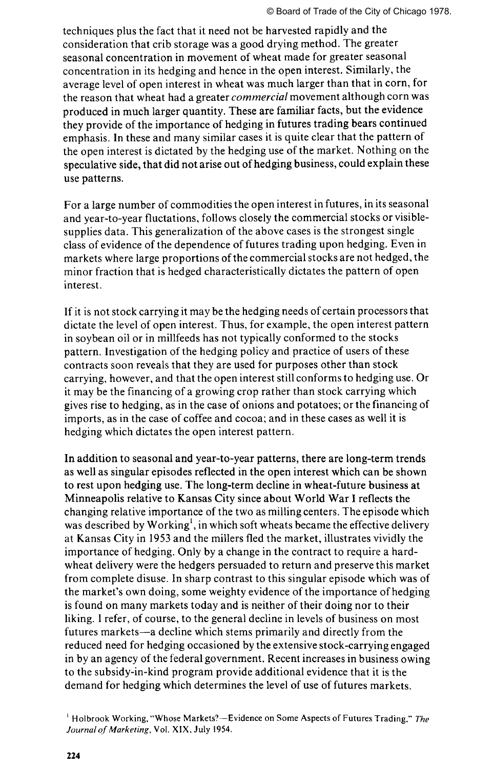techniques plus the fact that it need not be harvested rapidly and the consideration that crib storage was a good drying method. The greater seasonal concentration in movement of wheat made for greater seasonal concentration in its hedging and hence in the open interest. Similarly, the average level of open interest in wheat was much larger than that in corn, for the reason that wheat had a greater *commercial* movement although corn was produced in much larger quantity. These are familiar facts, but the evidence they provide of the importance of hedging in futures trading bears continued emphasis. In these and many similar cases it is quite clear that the pattern of the open interest is dictated by the hedging use of the market. Nothing on the speculative side, that did not arise out of hedging business, could explain these use patterns.

For a large number of commodities the open interest in futures, in its seasonal and year-to-year fluctations, follows closely the commercial stocks or visiblesupplies data. This generalization of the above cases is the strongest single class of evidence of the dependence of futures trading upon hedging. Even in markets where large proportions of the commercial stocks are not hedged, the minor fraction that is hedged characteristically dictates the pattern of open interest.

If it is not stock carrying it may be the hedging needs of certain processors that dictate the level of open interest. Thus, for example, the open interest pattern in soybean oil or in millfeeds has not typically conformed to the stocks pattern. Investigation of the hedging policy and practice of users of these contracts soon reveals that they are used for purposes other than stock carrying, however, and that the open interest still conforms to hedging use. Or it may be the financing of a growing crop rather than stock carrying which gives rise to hedging, as in the case of onions and potatoes; or the financing of imports, as in the case of coffee and cocoa; and in these cases as well it is hedging which dictates the open interest pattern.

In addition to seasonal and year-to-year patterns, there are long-term trends as well as singular episodes reflected in the open interest which can be shown to rest upon hedging use. The long-term decline in wheat-future business at Minneapolis relative to Kansas City since about World War I reflects the changing relative importance of the two as milling centers. The episode which was described by Working<sup>1</sup>, in which soft wheats became the effective delivery at Kansas City in 1953 and the millers fled the market, illustrates vividly the importance of hedging. Only by a change in the contract to require a hardwheat delivery were the hedgers persuaded to return and preserve this market from complete disuse. In sharp contrast to this singular episode which was of the market's own doing, some weighty evidence of the importance of hedging is found on many markets today and is neither of their doing nor to their liking. I refer, of course, to the general decline in levels of business on most futures markets—a decline which stems primarily and directly from the reduced need for hedging occasioned by the extensive stock-carrying engaged in by an agency of the federal government. Recent increases in business owing to the subsidy-in-kind program provide additional evidence that it is the demand for hedging which determines the level of use of futures markets.

<sup>1</sup> Holbrook Working, "Whose Markets?—Evidence on Some Aspects of Futures Trading," *The Journal of Marketing,* Vol. XIX, July 1954.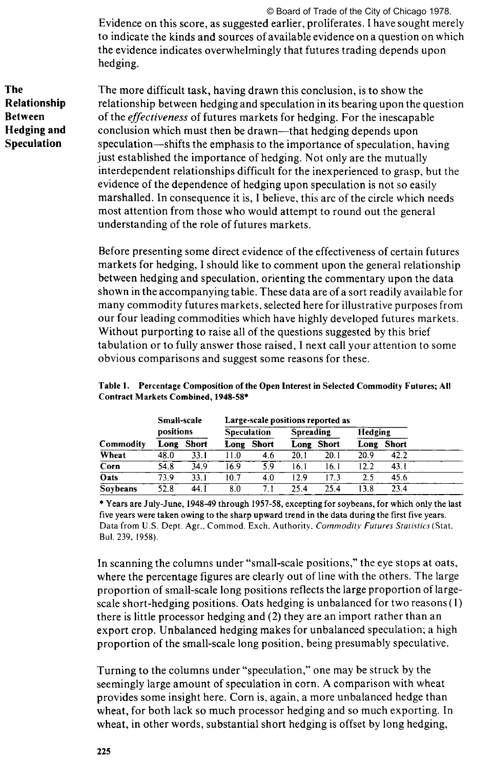Evidence on this score, as suggested earlier, proliferates. I have sought merely to indicate the kinds and sources of available evidence on a question on which the evidence indicates overwhelmingly that futures trading depends upon hedging. © Board of Trade of the City of Chicago 1978.

**The** The more difficult task, having drawn this conclusion, is to show the **Relationship** relationship between hedging and speculation in its bearing upon the *c* relationship between hedging and speculation in its bearing upon the question **Between** of the *effectiveness* of futures markets for hedging. For the inescapable **Hedging and** conclusion which must then be drawn—that hedging depends upon **Speculation** speculation—shifts the emphasis to the importance of speculation, having just established the importance of hedging. Not only are the mutually interdependent relationships difficult for the inexperienced to grasp, but the evidence of the dependence of hedging upon speculation is not so easily marshalled. In consequence it is, I believe, this arc of the circle which needs most attention from those who would attempt to round out the general understanding of the role of futures markets.

> Before presenting some direct evidence of the effectiveness of certain futures markets for hedging, I should like to comment upon the general relationship between hedging and speculation, orienting the commentary upon the data shown in the accompanying table. These data are of a sort readily available for many commodity futures markets, selected here for illustrative purposes from our four leading commodities which have highly developed futures markets. Without purporting to raise all of the questions suggested by this brief tabulation or to fully answer those raised, I next call your attention to some obvious comparisons and suggest some reasons for these.

| Table 1. Percentage Composition of the Open Interest in Selected Commodity Futures; All |
|-----------------------------------------------------------------------------------------|
| Contract Markets Combined, 1948-58*                                                     |

|             | Small-scale<br>positions |       | Large-scale positions reported as |       |           |       |         |              |  |
|-------------|--------------------------|-------|-----------------------------------|-------|-----------|-------|---------|--------------|--|
|             |                          |       | <b>Speculation</b>                |       | Spreading |       | Hedging |              |  |
| Commodity   | Long                     | Short | Long                              | Short | Long      | Short | Long    | <b>Short</b> |  |
| Wheat       | 48.0                     | 33.1  | 11.0                              | 4.6   | 20.1      | 20.1  | 20.9    | 42.2         |  |
| Corn        | 54.8                     | 34.9  | 16.9                              | 5.9   | 16.1      | 16.1  | 12.2    | 43.1         |  |
| <b>Oats</b> | 73.9                     | 33. I | 10.7                              | 4.0   | 12.9      | 17.3  | 2.5     | 45.6         |  |
| Soybeans    | 52.8                     | 44. I | 8.0                               |       | 25.4      | 25.4  | 13.8    | 23.4         |  |

**\* Years are July-June, 1948-49 through 1957-58, excepting for soybeans, for which only the last five years were taken owing to the sharp upward trend in the data during the first five years.**  Data from U.S. Dept. Agr., Commod. Exch. Authority, *Commodity Futures Statistics* (Stat. Bui. 239, 1958).

In scanning the columns under "small-scale positions," the eye stops at oats, where the percentage figures are clearly out of line with the others. The large proportion of small-scale long positions reflects the large proportion of largescale short-hedging positions. Oats hedging is unbalanced for two reasons (1) there is little processor hedging and (2) they are an import rather than an export crop. Unbalanced hedging makes for unbalanced speculation; a high proportion of the small-scale long position, being presumably speculative.

Turning to the columns under "speculation," one may be struck by the seemingly large amount of speculation in corn. A comparison with wheat provides some insight here. Corn is, again, a more unbalanced hedge than wheat, for both lack so much processor hedging and so much exporting. In wheat, in other words, substantial short hedging is offset by long hedging,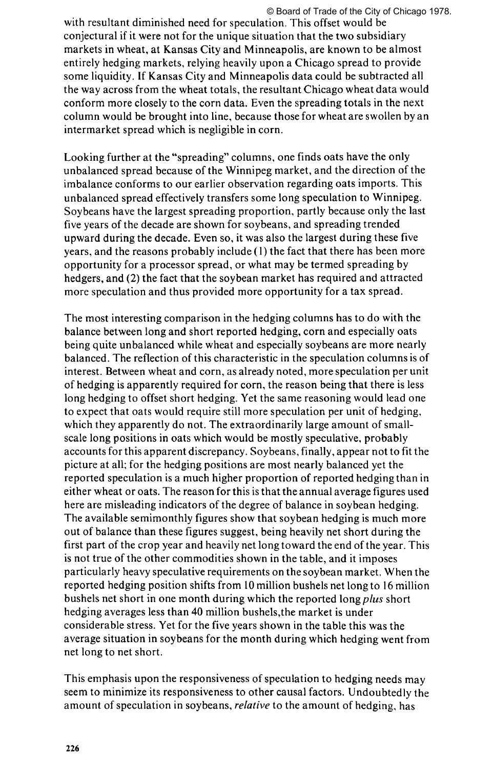with resultant diminished need for speculation. This offset would be conjectural if it were not for the unique situation that the two subsidiary markets in wheat, at Kansas City and Minneapolis, are known to be almost entirely hedging markets, relying heavily upon a Chicago spread to provide some liquidity. If Kansas City and Minneapolis data could be subtracted all the way across from the wheat totals, the resultant Chicago wheat data would conform more closely to the corn data. Even the spreading totals in the next column would be brought into line, because those for wheat are swollen by an intermarket spread which is negligible in corn.

Looking further at the "spreading" columns, one finds oats have the only unbalanced spread because of the Winnipeg market, and the direction of the imbalance conforms to our earlier observation regarding oats imports. This unbalanced spread effectively transfers some long speculation to Winnipeg. Soybeans have the largest spreading proportion, partly because only the last five years of the decade are shown for soybeans, and spreading trended upward during the decade. Even so, it was also the largest during these five years, and the reasons probably include (1) the fact that there has been more opportunity for a processor spread, or what may be termed spreading by hedgers, and (2) the fact that the soybean market has required and attracted more speculation and thus provided more opportunity for a tax spread.

The most interesting comparison in the hedging columns has to do with the balance between long and short reported hedging, corn and especially oats being quite unbalanced while wheat and especially soybeans are more nearly balanced. The reflection of this characteristic in the speculation columns is of interest. Between wheat and corn, as already noted, more speculation per unit of hedging is apparently required for corn, the reason being that there is less long hedging to offset short hedging. Yet the same reasoning would lead one to expect that oats would require still more speculation per unit of hedging, which they apparently do not. The extraordinarily large amount of smallscale long positions in oats which would be mostly speculative, probably accounts for this apparent discrepancy. Soybeans, finally, appear not to fit the picture at all; for the hedging positions are most nearly balanced yet the reported speculation is a much higher proportion of reported hedging than in either wheat or oats. The reason for this is that the annual average figures used here are misleading indicators of the degree of balance in soybean hedging. The available semimonthly figures show that soybean hedging is much more out of balance than these figures suggest, being heavily net short during the first part of the crop year and heavily net long toward the end of the year. This is not true of the other commodities shown in the table, and it imposes particularly heavy speculative requirements on the soybean market. When the reported hedging position shifts from 10 million bushels net long to 16 million bushels net short in one month during which the reported long *plus* short hedging averages less than 40 million bushels,the market is under considerable stress. Yet for the five years shown in the table this was the average situation in soybeans for the month during which hedging went from net long to net short.

This emphasis upon the responsiveness of speculation to hedging needs may seem to minimize its responsiveness to other causal factors. Undoubtedly the amount of speculation in soybeans, *relative* to the amount of hedging, has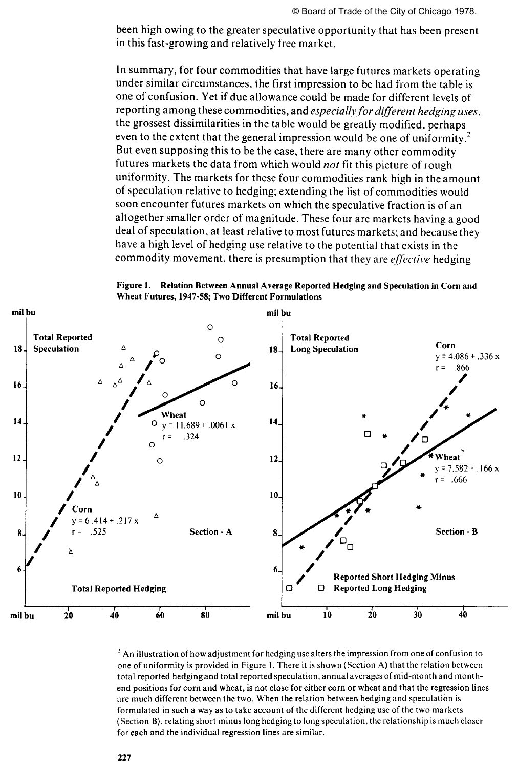been high owing to the greater speculative opportunity that has been present in this fast-growing and relatively free market.

In summary, for four commodities that have large futures markets operating under similar circumstances, the first impression to be had from the table is one of confusion. Yet if due allowance could be made for different levels of reporting among these commodities, and *especially for different hedging uses,*  the grossest dissimilarities in the table would be greatly modified, perhaps even to the extent that the general impression would be one of uniformity.<sup>2</sup> But even supposing this to be the case, there are many other commodity futures markets the data from which would *not* fit this picture of rough uniformity. The markets for these four commodities rank high in the amount of speculation relative to hedging; extending the list of commodities would soon encounter futures markets on which the speculative fraction is of an altogether smaller order of magnitude. These four are markets having a good deal of speculation, at least relative to most futures markets; and because they have a high level of hedging use relative to the potential that exists in the commodity movement, there is presumption that they are *effective* hedging



Figure 1. Relation Between Annual Average Reported Hedging and Speculation in Corn and Wheat Futures, 1947-58; Two Different Formulations

 $^2$  An illustration of how adjustment for hedging use alters the impression from one of confusion to one of uniformity is provided in Figure 1. There it is shown (Section A) that the relation between total reported hedging and total reported speculation, annual averages of mid-month and monthend positions for corn and wheat, is not close for either corn or wheat and that the regression lines are much different between the two. When the relation between hedging and speculation is formulated in such a way as to take account of the different hedging use of the two markets (Section B), relating short minus long hedging to long speculation, the relationship is much closer for each and the individual regression lines are similar.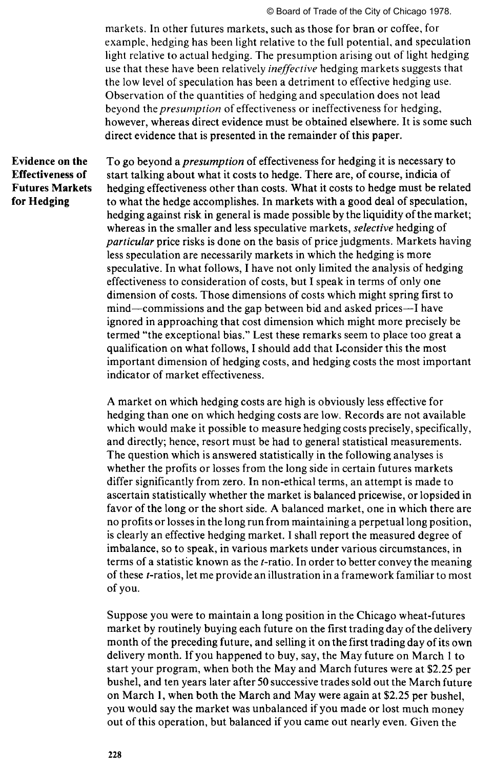markets. In other futures markets, such as those for bran or coffee, for example, hedging has been light relative to the full potential, and speculation light relative to actual hedging. The presumption arising out of light hedging use that these have been relatively *ineffective* hedging markets suggests that the low level of speculation has been a detriment to effective hedging use. Observation of the quantities of hedging and speculation does not lead beyond *the presumption* of effectiveness or ineffectiveness for hedging, however, whereas direct evidence must be obtained elsewhere. It is some such direct evidence that is presented in the remainder of this paper.

### **Evidence on the Effectiveness of Futures Markets for Hedging**

To go beyond *a presumption* of effectiveness for hedging it is necessary to start talking about what it costs to hedge. There are, of course, indicia of hedging effectiveness other than costs. What it costs to hedge must be related to what the hedge accomplishes. In markets with a good deal of speculation, hedging against risk in general is made possible by the liquidity of the market; whereas in the smaller and less speculative markets, *selective* hedging of *particular* price risks is done on the basis of price judgments. Markets having less speculation are necessarily markets in which the hedging is more speculative. In what follows, I have not only limited the analysis of hedging effectiveness to consideration of costs, but I speak in terms of only one dimension of costs. Those dimensions of costs which might spring first to mind—commissions and the gap between bid and asked prices—I have ignored in approaching that cost dimension which might more precisely be termed "the exceptional bias." Lest these remarks seem to place too great a qualification on what follows, I should add that I.consider this the most important dimension of hedging costs, and hedging costs the most important indicator of market effectiveness.

A market on which hedging costs are high is obviously less effective for hedging than one on which hedging costs are low. Records are not available which would make it possible to measure hedging costs precisely, specifically, and directly; hence, resort must be had to general statistical measurements. The question which is answered statistically in the following analyses is whether the profits or losses from the long side in certain futures markets differ significantly from zero. In non-ethical terms, an attempt is made to ascertain statistically whether the market is balanced pricewise, or lopsided in favor of the long or the short side. A balanced market, one in which there are no profits or losses in the long run from maintaining a perpetual long position, is clearly an effective hedging market. I shall report the measured degree of imbalance, so to speak, in various markets under various circumstances, in terms of a statistic known as the *t*-ratio. In order to better convey the meaning of these f-ratios, let me provide an illustration in a framework familiar to most of you.

Suppose you were to maintain a long position in the Chicago wheat-futures market by routinely buying each future on the first trading day of the delivery month of the preceding future, and selling it on the first trading day of its own delivery month. If you happened to buy, say, the May future on March 1 to start your program, when both the May and March futures were at \$2.25 per bushel, and ten years later after 50 successive trades sold out the March future on March 1, when both the March and May were again at \$2.25 per bushel, you would say the market was unbalanced if you made or lost much money out of this operation, but balanced if you came out nearly even. Given the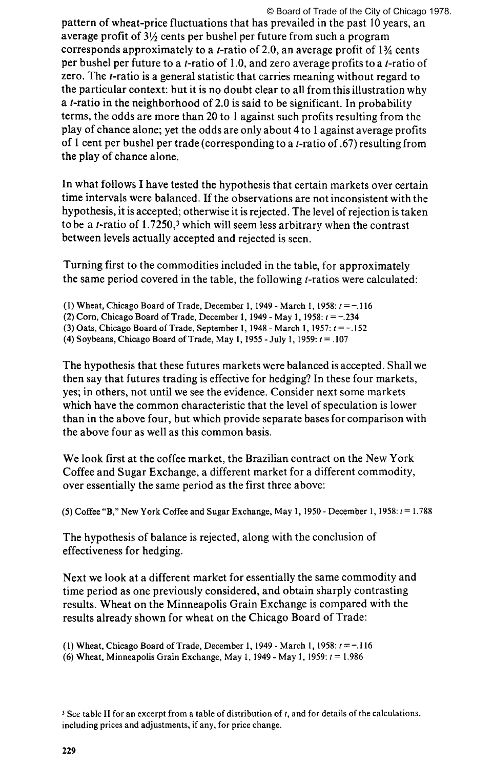pattern of wheat-price fluctuations that has prevailed in the past 10 years, an average profit of 3% cents per bushel per future from such a program corresponds approximately to a *t*-ratio of 2.0, an average profit of  $1\frac{3}{4}$  cents per bushel per future to a  $t$ -ratio of 1.0, and zero average profits to a  $t$ -ratio of zero. The  $t$ -ratio is a general statistic that carries meaning without regard to the particular context: but it is no doubt clear to all from this illustration why a  $t$ -ratio in the neighborhood of 2.0 is said to be significant. In probability terms, the odds are more than 20 to 1 against such profits resulting from the play of chance alone; yet the odds are only about 4 to 1 against average profits of 1 cent per bushel per trade (corresponding to a /-ratio of .67) resulting from the play of chance alone.

In what follows I have tested the hypothesis that certain markets over certain time intervals were balanced. If the observations are not inconsistent with the hypothesis, it is accepted; otherwise it is rejected. The level of rejection is taken to be a  $t$ -ratio of 1.7250,<sup>3</sup> which will seem less arbitrary when the contrast between levels actually accepted and rejected is seen.

Turning first to the commodities included in the table, for approximately the same period covered in the table, the following /-ratios were calculated:

- (1) Wheat, Chicago Board of Trade, December 1, 1949 March 1, 1958:  $t = -116$
- (2) Corn, Chicago Board of Trade, December 1, 1949 May 1, 1958: *t =* -.234
- (3) Oats, Chicago Board of Trade, September 1, 1948 March 1, 1957:  $t = -.152$
- (4) Soybeans, Chicago Board of Trade, May 1, 1955 July 1, 1959:  $t = .107$

The hypothesis that these futures markets were balanced is accepted. Shall we then say that futures trading is effective for hedging? In these four markets, yes; in others, not until we see the evidence. Consider next some markets which have the common characteristic that the level of speculation is lower than in the above four, but which provide separate bases for comparison with the above four as well as this common basis.

We look first at the coffee market, the Brazilian contract on the New York Coffee and Sugar Exchange, a different market for a different commodity, over essentially the same period as the first three above:

(5) Coffee "B," New York Coffee and Sugar Exchange, May 1, 1950 - December 1, 1958:  $i = 1.788$ 

The hypothesis of balance is rejected, along with the conclusion of effectiveness for hedging.

Next we look at a different market for essentially the same commodity and time period as one previously considered, and obtain sharply contrasting results. Wheat on the Minneapolis Grain Exchange is compared with the results already shown for wheat on the Chicago Board of Trade:

(1) Wheat, Chicago Board of Trade, December 1, 1949 - March 1, 1958:  $t = -0.116$ (6) Wheat, Minneapolis Grain Exchange, May 1, 1949 - May 1, 1959: *t* = 1.986

<sup>3</sup> See table II for an excerpt from a table of distribution of *t,* and for details of the calculations, including prices and adjustments, if any, for price change.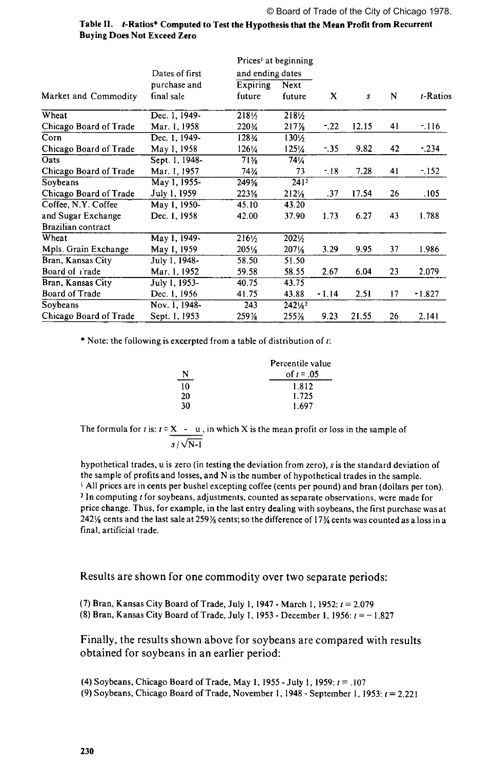|                        |                | Prices at beginning |                  |         |                  |    |             |
|------------------------|----------------|---------------------|------------------|---------|------------------|----|-------------|
|                        | Dates of first | and ending dates    |                  |         |                  |    |             |
|                        | purchase and   | Expiring            | Next             | X       | $\boldsymbol{s}$ | N  | $t$ -Ratios |
| Market and Commodity   | final sale     | future              | future           |         |                  |    |             |
| Wheat                  | Dec. 1, 1949-  | 218%                | 2181/2           |         |                  |    |             |
| Chicago Board of Trade | Mar. 1, 1958   | 220%                | 217%             | $-0.22$ | 12.15            | 41 | $-116$      |
| Corn                   | Dec. 1, 1949-  | 128¾                | 130½             |         |                  |    |             |
| Chicago Board of Trade | May 1, 1958    | 126/4               | 1251⁄4           | - 35    | 9.82             | 42 | $-234$      |
| Oats                   | Sept. 1, 1948- | $71\%$              | 74%              |         |                  |    |             |
| Chicago Board of Trade | Mar. 1, 1957   | 74¾                 | 73               | $-18$   | 7.28             | 41 | $-152$      |
| Soybeans               | May 1, 1955-   | 249%                | 241 <sup>2</sup> |         |                  |    |             |
| Chicago Board of Trade | July 1, 1959   | 223%                | $212\frac{1}{8}$ | .37     | 17.54            | 26 | .105        |
| Coffee, N.Y. Coffee    | May 1, 1950-   | 45.10               | 43.20            |         |                  |    |             |
| and Sugar Exchange     | Dec. 1, 1958   | 42.00               | 37.90            | 1.73    | 6.27             | 43 | 1.788       |
| Brazilian contract     |                |                     |                  |         |                  |    |             |
| Wheat                  | May 1, 1949-   | $216\frac{1}{2}$    | 2021/2           |         |                  |    |             |
| Mpls. Grain Exchange   | May 1, 1959    | $205\%$             | $207\frac{1}{8}$ | 3.29    | 9.95             | 37 | 1.986       |
| Bran, Kansas City      | July 1, 1948-  | 58.50               | 51.50            |         |                  |    |             |
| Board of riade         | Mar. 1, 1952   | 59.58               | 58.55            | 2.67    | 6.04             | 23 | 2.079       |
| Bran, Kansas City      | July 1, 1953-  | 40.75               | 43.75            |         |                  |    |             |
| <b>Board of Trade</b>  | Dec. 1, 1956   | 41.75               | 43.88            | $-1.14$ | 2.51             | 17 | -1.827      |
| Soybeans               | Nov. 1, 1948-  | 243                 | 2421/2           |         |                  |    |             |
| Chicago Board of Trade | Sept. 1, 1953  | 259%                | 255%             | 9.23    | 21.55            | 26 | 2.141       |

#### Table II. t-Ratios\* Computed to Test the Hypothesis that the Mean Profit from Recurrent **Buying Does Not Exceed Zero**

\* Note: the following is excerpted from a table of distribution of  $t$ :

|    | Percentile value |
|----|------------------|
| N  | of $t = .05$     |
| 10 | 1.812            |
| 20 | 1.725            |
| 30 | 1.697            |

The formula for t is:  $t = X - u$ , in which X is the mean profit or loss in the sample of  $s$  /  $\vee$  N-I

hypothetical trades, u is zero (in testing the deviation from zero), s is the standard deviation of the sample of profits and losses, and N is the number of hypothetical trades in the sample. 1 All prices are in cents per bushel excepting coffee (cents per pound) and bran (dollars per ton). 2 In computing *t* for soybeans, adjustments, counted as separate observations, were made for price change. Thus, for example, in the last entry dealing with soybeans, the first purchase was at 2421⁄8 cents and the last sale at 2591⁄8 cents; so the difference of 173⁄4 cents was counted as a loss in a final, artificial trade.

Results are shown for one commodity over two separate periods:

(7) Bran, Kansas City Board of Trade, July 1,1947 - March 1, 1952: *t =* 2.079 (8) Bran, Kansas City Board of Trade, July 1, 1953 - December 1, 1956:  $t = -1.827$ 

Finally, the results shown above for soybeans are compared with results obtained for soybeans in an earlier period:

(4) Soybeans, Chicago Board of Trade, May 1, 1955 - July 1, 1959: *t* = .107 (9) Soybeans, Chicago Board of Trade, November 1, 1948 - September 1, 1953:  $t = 2.221$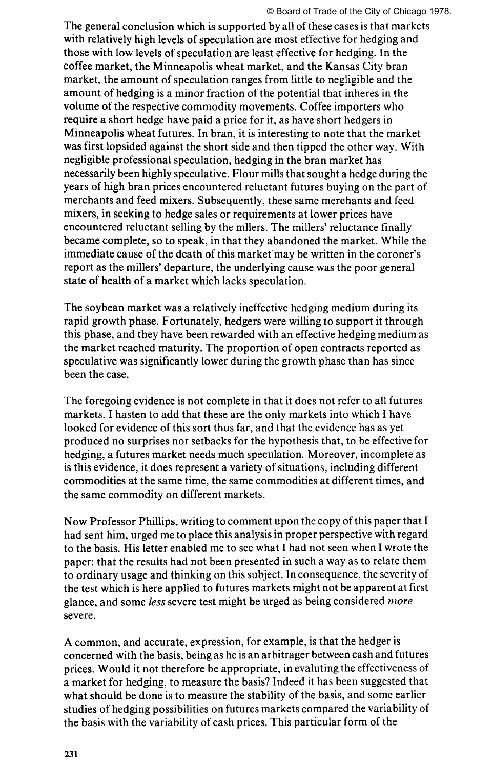#### © Board of Trade of the City of Chicago 1978.

The general conclusion which is supported by all of these cases is that markets with relatively high levels of speculation are most effective for hedging and those with low levels of speculation are least effective for hedging. In the coffee market, the Minneapolis wheat market, and the Kansas City bran market, the amount of speculation ranges from little to negligible and the amount of hedging is a minor fraction of the potential that inheres in the volume of the respective commodity movements. Coffee importers who require a short hedge have paid a price for it, as have short hedgers in Minneapolis wheat futures. In bran, it is interesting to note that the market was first lopsided against the short side and then tipped the other way. With negligible professional speculation, hedging in the bran market has necessarily been highly speculative. Flour mills that sought a hedge during the years of high bran prices encountered reluctant futures buying on the part of merchants and feed mixers. Subsequently, these same merchants and feed mixers, in seeking to hedge sales or requirements at lower prices have encountered reluctant selling by the mllers. The millers' reluctance finally became complete, so to speak, in that they abandoned the market. While the immediate cause of the death of this market may be written in the coroner's report as the millers' departure, the underlying cause was the poor general state of health of a market which lacks speculation.

The soybean market was a relatively ineffective hedging medium during its rapid growth phase. Fortunately, hedgers were willing to support it through this phase, and they have been rewarded with an effective hedging medium as the market reached maturity. The proportion of open contracts reported as speculative was significantly lower during the growth phase than has since been the case.

The foregoing evidence is not complete in that it does not refer to all futures markets. I hasten to add that these are the only markets into which I have looked for evidence of this sort thus far, and that the evidence has as yet produced no surprises nor setbacks for the hypothesis that, to be effective for hedging, a futures market needs much speculation. Moreover, incomplete as is this evidence, it does represent a variety of situations, including different commodities at the same time, the same commodities at different times, and the same commodity on different markets.

Now Professor Phillips, writing to comment upon the copy of this paper that I had sent him, urged me to place this analysis in proper perspective with regard to the basis. His letter enabled me to see what I had not seen when I wrote the paper: that the results had not been presented in such a way as to relate them to ordinary usage and thinking on this subject. Inconsequence, the severity of the test which is here applied to futures markets might not be apparent at first glance, and some *less* severe test might be urged as being considered *more*  severe.

A common, and accurate, expression, for example, is that the hedger is concerned with the basis, being as he is an arbitrager between cash and futures prices. Would it not therefore be appropriate, in evaluting the effectiveness of a market for hedging, to measure the basis? Indeed it has been suggested that what should be done is to measure the stability of the basis, and some earlier studies of hedging possibilities on futures markets compared the variability of the basis with the variability of cash prices. This particular form of the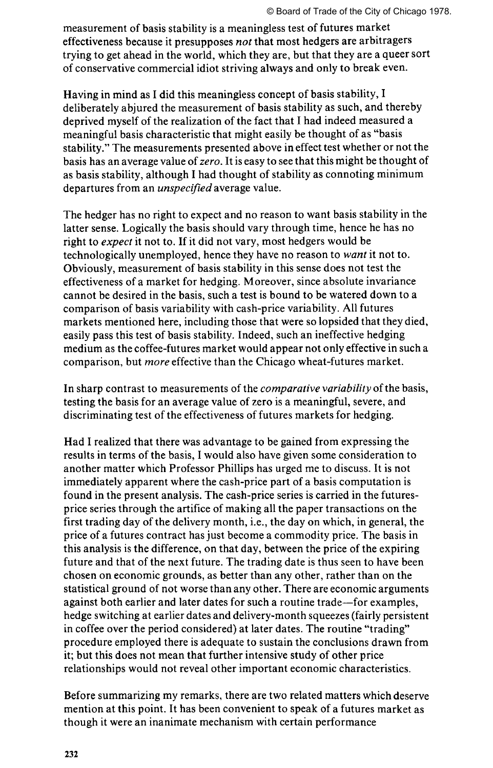measurement of basis stability is a meaningless test of futures market effectiveness because it presupposes *not* that most hedgers are arbitragers trying to get ahead in the world, which they are, but that they are a queer sort of conservative commercial idiot striving always and only to break even.

Having in mind as I did this meaningless concept of basis stability, I deliberately abjured the measurement of basis stability as such, and thereby deprived myself of the realization of the fact that I had indeed measured a meaningful basis characteristic that might easily be thought of as "basis stability." The measurements presented above in effect test whether or not the basis has an average value of *zero.* It is easy to see that this might be thought of as basis stability, although I had thought of stability as connoting minimum departures from an *unspecified* average value.

The hedger has no right to expect and no reason to want basis stability in the latter sense. Logically the basis should vary through time, hence he has no right to *expect* it not to. If it did not vary, most hedgers would be technologically unemployed, hence they have no reason to *want* it not to. Obviously, measurement of basis stability in this sense does not test the effectiveness of a market for hedging. Moreover, since absolute invariance cannot be desired in the basis, such a test is bound to be watered down to a comparison of basis variability with cash-price variability. All futures markets mentioned here, including those that were so lopsided that they died, easily pass this test of basis stability. Indeed, such an ineffective hedging medium as the coffee-futures market would appear not only effective in such a comparison, but *more* effective than the Chicago wheat-futures market.

In sharp contrast to measurements of the *comparative variability* of the basis, testing the basis for an average value of zero is a meaningful, severe, and discriminating test of the effectiveness of futures markets for hedging.

Had I realized that there was advantage to be gained from expressing the results in terms of the basis, I would also have given some consideration to another matter which Professor Phillips has urged me to discuss. It is not immediately apparent where the cash-price part of a basis computation is found in the present analysis. The cash-price series is carried in the futuresprice series through the artifice of making all the paper transactions on the first trading day of the delivery month, i.e., the day on which, in general, the price of a futures contract has just become a commodity price. The basis in this analysis is the difference, on that day, between the price of the expiring future and that of the next future. The trading date is thus seen to have been chosen on economic grounds, as better than any other, rather than on the statistical ground of not worse than any other. There are economic arguments against both earlier and later dates for such a routine trade—for examples, hedge switching at earlier dates and delivery-month squeezes (fairly persistent in coffee over the period considered) at later dates. The routine "trading" procedure employed there is adequate to sustain the conclusions drawn from it; but this does not mean that further intensive study of other price relationships would not reveal other important economic characteristics.

Before summarizing my remarks, there are two related matters which deserve mention at this point. It has been convenient to speak of a futures market as though it were an inanimate mechanism with certain performance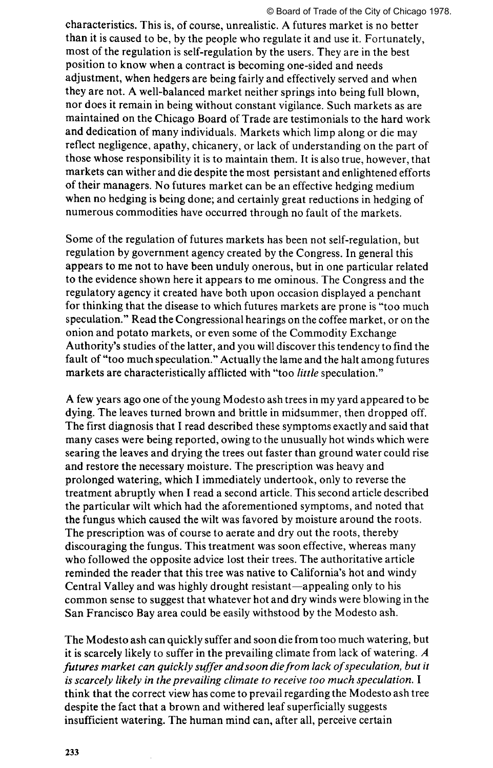#### © Board of Trade of the City of Chicago 1978.

characteristics. This is, of course, unrealistic. A futures market is no better than it is caused to be, by the people who regulate it and use it. Fortunately, most of the regulation is self-regulation by the users. They are in the best position to know when a contract is becoming one-sided and needs adjustment, when hedgers are being fairly and effectively served and when they are not. A well-balanced market neither springs into being full blown, nor does it remain in being without constant vigilance. Such markets as are maintained on the Chicago Board of Trade are testimonials to the hard work and dedication of many individuals. Markets which limp along or die may reflect negligence, apathy, chicanery, or lack of understanding on the part of those whose responsibility it is to maintain them. It is also true, however, that markets can wither and die despite the most persistant and enlightened efforts of their managers. No futures market can be an effective hedging medium when no hedging is being done; and certainly great reductions in hedging of numerous commodities have occurred through no fault of the markets.

Some of the regulation of futures markets has been not self-regulation, but regulation by government agency created by the Congress. In general this appears to me not to have been unduly onerous, but in one particular related to the evidence shown here it appears to me ominous. The Congress and the regulatory agency it created have both upon occasion displayed a penchant for thinking that the disease to which futures markets are prone is "too much speculation." Read the Congressional hearings on the coffee market, or on the onion and potato markets, or even some of the Commodity Exchange Authority's studies of the latter, and you will discover this tendency to find the fault of "too much speculation." Actually the lame and the halt among futures markets are characteristically afflicted with "too *little* speculation."

A few years ago one of the young Modesto ash trees in my yard appeared to be dying. The leaves turned brown and brittle in midsummer, then dropped off. The first diagnosis that I read described these symptoms exactly and said that many cases were being reported, owing to the unusually hot winds which were searing the leaves and drying the trees out faster than ground water could rise and restore the necessary moisture. The prescription was heavy and prolonged watering, which I immediately undertook, only to reverse the treatment abruptly when I read a second article. This second article described the particular wilt which had the aforementioned symptoms, and noted that the fungus which caused the wilt was favored by moisture around the roots. The prescription was of course to aerate and dry out the roots, thereby discouraging the fungus. This treatment was soon effective, whereas many who followed the opposite advice lost their trees. The authoritative article reminded the reader that this tree was native to California's hot and windy Central Valley and was highly drought resistant—appealing only to his common sense to suggest that whatever hot and dry winds were blowing in the San Francisco Bay area could be easily withstood by the Modesto ash.

The Modesto ash can quickly suffer and soon die from too much watering, but it is scarcely likely to suffer in the prevailing climate from lack of watering. *A*  futures market can quickly suffer and soon die from lack of speculation, but it *is scarcely likely in the prevailing climate to receive too much speculation.* I think that the correct view has come to prevail regarding the Modesto ash tree despite the fact that a brown and withered leaf superficially suggests insufficient watering. The human mind can, after all, perceive certain